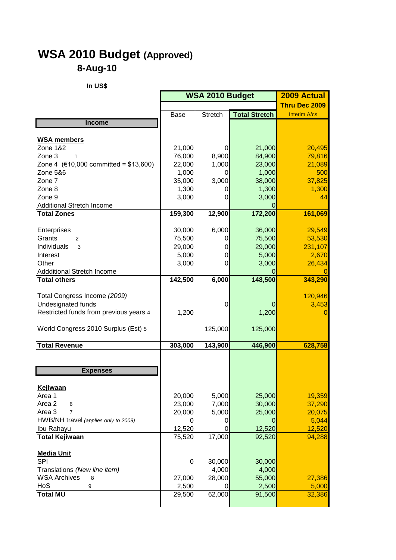## **WSA 2010 Budget (Approved) 8-Aug-10**

**In US\$**

|                                        | <b>WSA 2010 Budget</b> |                |                      | 2009 Actual      |
|----------------------------------------|------------------------|----------------|----------------------|------------------|
|                                        |                        |                |                      | Thru Dec 2009    |
|                                        | Base                   | <b>Stretch</b> | <b>Total Stretch</b> | Interim A/cs     |
| <b>Income</b>                          |                        |                |                      |                  |
|                                        |                        |                |                      |                  |
| <b>WSA members</b>                     |                        |                |                      |                  |
| Zone 1&2<br>Zone 3<br>1                | 21,000<br>76,000       | 0<br>8,900     | 21,000<br>84,900     | 20,495<br>79,816 |
| Zone 4 (€10,000 committed = \$13,600)  | 22,000                 | 1,000          | 23,000               | 21,089           |
| Zone 5&6                               | 1,000                  | 0              | 1,000                | 500              |
| Zone 7                                 | 35,000                 | 3,000          | 38,000               | 37,825           |
| Zone 8                                 | 1,300                  | 0              | 1,300                | 1,300            |
| Zone 9                                 | 3,000                  | 0              | 3,000                | 44               |
| <b>Additional Stretch Income</b>       |                        |                | O                    |                  |
| <b>Total Zones</b>                     | 159,300                | 12,900         | 172,200              | 161,069          |
|                                        |                        |                |                      |                  |
| Enterprises                            | 30,000                 | 6,000          | 36,000               | 29,549           |
| Grants<br>2                            | 75,500                 | 0              | 75,500               | 53,530           |
| Individuals<br>3                       | 29,000                 | 0              | 29,000               | 231,107          |
| Interest<br>Other                      | 5,000<br>3,000         | 0<br>0         | 5,000<br>3,000       | 2,670<br>26,434  |
| <b>Addditional Stretch Income</b>      |                        |                |                      |                  |
| <b>Total others</b>                    | 142,500                | 6,000          | 148,500              | 343,290          |
|                                        |                        |                |                      |                  |
| Total Congress Income (2009)           |                        |                |                      | 120,946          |
| Undesignated funds                     |                        | 0              | 0                    | 3,453            |
| Restricted funds from previous years 4 | 1,200                  |                | 1,200                | $\overline{0}$   |
|                                        |                        |                |                      |                  |
| World Congress 2010 Surplus (Est) 5    |                        | 125,000        | 125,000              |                  |
| <b>Total Revenue</b>                   | 303,000                | 143,900        | 446,900              | 628,758          |
|                                        |                        |                |                      |                  |
| <b>Expenses</b>                        |                        |                |                      |                  |
|                                        |                        |                |                      |                  |
| Keiiwaan                               |                        |                |                      |                  |
| Area 1                                 | 20,000                 | 5,000          | 25,000               | 19,359           |
| Area 2<br>6                            | 23,000                 | 7,000          | 30,000               | 37,290           |
| Area 3<br>$\overline{7}$               | 20,000                 | 5,000          | 25,000               | 20,075           |
| HWB/NH travel (applies only to 2009)   | 0                      | O              | O                    | 5,044            |
| Ibu Rahayu<br><b>Total Kejiwaan</b>    | 12,520<br>75,520       | 0<br>17,000    | 12,520<br>92,520     | 12,520<br>94,288 |
|                                        |                        |                |                      |                  |
| <b>Media Unit</b>                      |                        |                |                      |                  |
| <b>SPI</b>                             | 0                      | 30,000         | 30,000               |                  |
| Translations (New line item)           |                        | 4,000          | 4,000                |                  |
| <b>WSA Archives</b><br>8               | 27,000                 | 28,000         | 55,000               | 27,386           |
| HoS<br>9                               | 2,500                  | 0              | 2,500                | 5,000            |
| <b>Total MU</b>                        | 29,500                 | 62,000         | 91,500               | 32,386           |
|                                        |                        |                |                      |                  |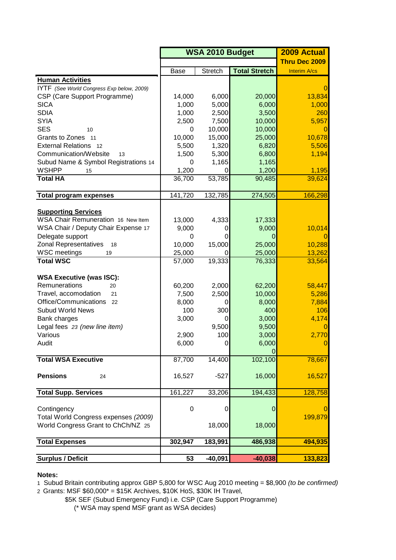|                                           | <b>WSA 2010 Budget</b> |                |                      | <b>2009 Actual</b> |
|-------------------------------------------|------------------------|----------------|----------------------|--------------------|
|                                           |                        |                |                      | Thru Dec 2009      |
|                                           | Base                   | Stretch        | <b>Total Stretch</b> | Interim A/cs       |
| <b>Human Activities</b>                   |                        |                |                      |                    |
| IYTF (See World Congress Exp below, 2009) |                        |                |                      | $\mathbf{0}$       |
| CSP (Care Support Programme)              | 14,000                 | 6,000          | 20,000               | 13,834             |
| <b>SICA</b>                               | 1,000                  | 5,000          | 6,000                | 1,000              |
| <b>SDIA</b>                               | 1,000                  | 2,500          | 3,500                | 260                |
| <b>SYIA</b>                               | 2,500                  | 7,500          | 10,000               | 5,957              |
| <b>SES</b><br>10                          | 0                      | 10,000         | 10,000               | 0                  |
| Grants to Zones 11                        | 10,000                 | 15,000         | 25,000               | 10,678             |
| <b>External Relations</b><br>-12          | 5,500                  | 1,320          | 6,820                | 5,506              |
| Communication/Website<br>13               | 1,500                  | 5,300          | 6,800                | 1,194              |
| Subud Name & Symbol Registrations 14      | 0                      | 1,165          | 1,165                |                    |
| <b>WSHPP</b><br>15                        | 1,200                  | 0              | 1,200                | 1,195              |
| <b>Total HA</b>                           | 36,700                 | 53,785         | 90,485               | 39,624             |
|                                           |                        |                |                      |                    |
| <b>Total program expenses</b>             | 141,720                | 132,785        | 274,505              | 166,298            |
|                                           |                        |                |                      |                    |
| <b>Supporting Services</b>                |                        |                |                      |                    |
| WSA Chair Remuneration 16 New Item        | 13,000                 | 4,333          | 17,333               |                    |
| WSA Chair / Deputy Chair Expense 17       | 9,000                  | 0              | 9,000                | 10,014             |
| Delegate support                          | 0                      | 0              | O                    | 0                  |
| <b>Zonal Representatives</b><br>18        | 10,000                 | 15,000         | 25,000               | 10,288             |
| <b>WSC</b> meetings<br>19                 | 25,000                 | 0              | 25,000               | 13,262             |
| <b>Total WSC</b>                          | 57,000                 | 19,333         | 76,333               | 33,564             |
| <b>WSA Executive (was ISC):</b>           |                        |                |                      |                    |
| Remunerations<br>20                       | 60,200                 | 2,000          | 62,200               | 58,447             |
| Travel, accomodation<br>21                | 7,500                  | 2,500          | 10,000               | 5,286              |
| Office/Communications<br>22               | 8,000                  | 0              | 8,000                | 7,884              |
| <b>Subud World News</b>                   | 100                    | 300            | 400                  | 106                |
| Bank charges                              | 3,000                  | <sub>0</sub>   | 3,000                | 4,174              |
| Legal fees 23 (new line item)             |                        | 9,500          | 9,500                | $\vert 0 \vert$    |
| Various                                   | 2,900                  | 100            | 3,000                | 2,770              |
| Audit                                     | 6,000                  | $\overline{0}$ | 6,000                | $\overline{0}$     |
|                                           |                        |                | 0                    |                    |
| <b>Total WSA Executive</b>                | 87,700                 | 14,400         | 102,100              | 78,667             |
| <b>Pensions</b><br>24                     | 16,527                 | $-527$         | 16,000               | 16,527             |
|                                           |                        |                |                      |                    |
| <b>Total Supp. Services</b>               | 161,227                | 33,206         | 194,433              | 128,758            |
|                                           |                        |                |                      |                    |
| Contingency                               | $\pmb{0}$              | 0              | 0                    | 0                  |
| Total World Congress expenses (2009)      |                        |                |                      | 199,879            |
| World Congress Grant to ChCh/NZ 25        |                        | 18,000         | 18,000               |                    |
| <b>Total Expenses</b>                     | 302,947                | 183,991        | 486,938              | 494,935            |
|                                           |                        |                |                      |                    |
| <b>Surplus / Deficit</b>                  | 53                     | $-40,091$      | $-40,038$            | 133,823            |

## **Notes:**

1 Subud Britain contributing approx GBP 5,800 for WSC Aug 2010 meeting = \$8,900 *(to be confirmed)* 2 Grants: MSF \$60,000\* = \$15K Archives, \$10K HoS, \$30K IH Travel,

\$5K SEF (Subud Emergency Fund) i.e. CSP (Care Support Programme)

(\* WSA may spend MSF grant as WSA decides)